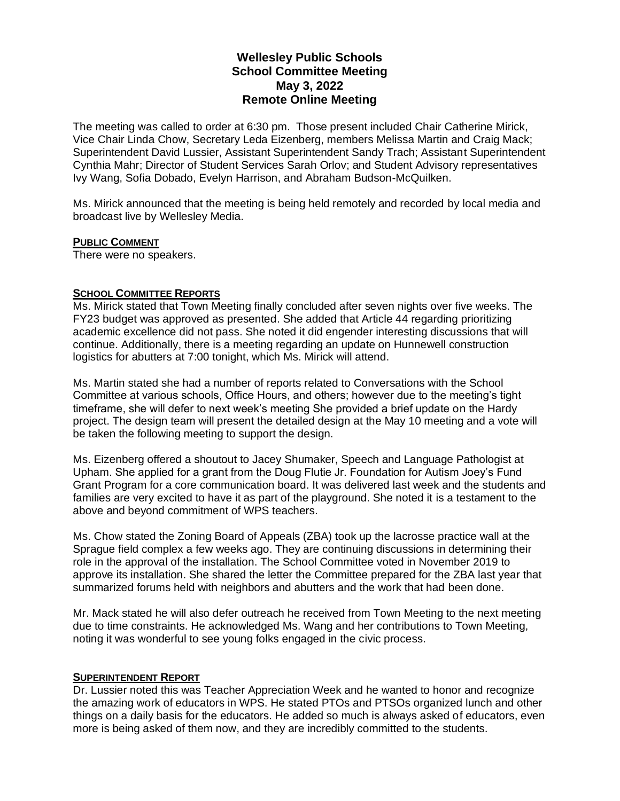# **Wellesley Public Schools School Committee Meeting May 3, 2022 Remote Online Meeting**

The meeting was called to order at 6:30 pm. Those present included Chair Catherine Mirick, Vice Chair Linda Chow, Secretary Leda Eizenberg, members Melissa Martin and Craig Mack; Superintendent David Lussier, Assistant Superintendent Sandy Trach; Assistant Superintendent Cynthia Mahr; Director of Student Services Sarah Orlov; and Student Advisory representatives Ivy Wang, Sofia Dobado, Evelyn Harrison, and Abraham Budson-McQuilken.

Ms. Mirick announced that the meeting is being held remotely and recorded by local media and broadcast live by Wellesley Media.

### **PUBLIC COMMENT**

There were no speakers.

## **SCHOOL COMMITTEE REPORTS**

Ms. Mirick stated that Town Meeting finally concluded after seven nights over five weeks. The FY23 budget was approved as presented. She added that Article 44 regarding prioritizing academic excellence did not pass. She noted it did engender interesting discussions that will continue. Additionally, there is a meeting regarding an update on Hunnewell construction logistics for abutters at 7:00 tonight, which Ms. Mirick will attend.

Ms. Martin stated she had a number of reports related to Conversations with the School Committee at various schools, Office Hours, and others; however due to the meeting's tight timeframe, she will defer to next week's meeting She provided a brief update on the Hardy project. The design team will present the detailed design at the May 10 meeting and a vote will be taken the following meeting to support the design.

Ms. Eizenberg offered a shoutout to Jacey Shumaker, Speech and Language Pathologist at Upham. She applied for a grant from the Doug Flutie Jr. Foundation for Autism Joey's Fund Grant Program for a core communication board. It was delivered last week and the students and families are very excited to have it as part of the playground. She noted it is a testament to the above and beyond commitment of WPS teachers.

Ms. Chow stated the Zoning Board of Appeals (ZBA) took up the lacrosse practice wall at the Sprague field complex a few weeks ago. They are continuing discussions in determining their role in the approval of the installation. The School Committee voted in November 2019 to approve its installation. She shared the letter the Committee prepared for the ZBA last year that summarized forums held with neighbors and abutters and the work that had been done.

Mr. Mack stated he will also defer outreach he received from Town Meeting to the next meeting due to time constraints. He acknowledged Ms. Wang and her contributions to Town Meeting, noting it was wonderful to see young folks engaged in the civic process.

### **SUPERINTENDENT REPORT**

Dr. Lussier noted this was Teacher Appreciation Week and he wanted to honor and recognize the amazing work of educators in WPS. He stated PTOs and PTSOs organized lunch and other things on a daily basis for the educators. He added so much is always asked of educators, even more is being asked of them now, and they are incredibly committed to the students.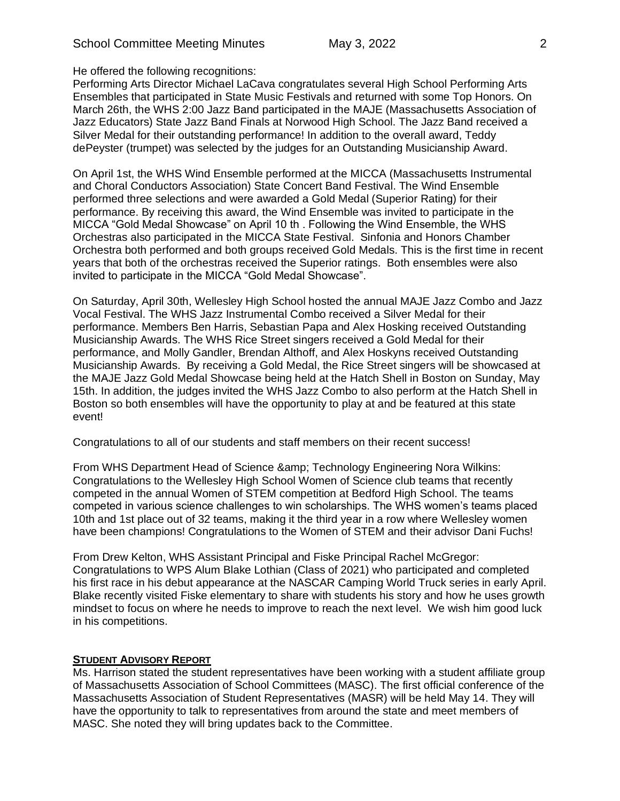He offered the following recognitions:

Performing Arts Director Michael LaCava congratulates several High School Performing Arts Ensembles that participated in State Music Festivals and returned with some Top Honors. On March 26th, the WHS 2:00 Jazz Band participated in the MAJE (Massachusetts Association of Jazz Educators) State Jazz Band Finals at Norwood High School. The Jazz Band received a Silver Medal for their outstanding performance! In addition to the overall award, Teddy dePeyster (trumpet) was selected by the judges for an Outstanding Musicianship Award.

On April 1st, the WHS Wind Ensemble performed at the MICCA (Massachusetts Instrumental and Choral Conductors Association) State Concert Band Festival. The Wind Ensemble performed three selections and were awarded a Gold Medal (Superior Rating) for their performance. By receiving this award, the Wind Ensemble was invited to participate in the MICCA "Gold Medal Showcase" on April 10 th . Following the Wind Ensemble, the WHS Orchestras also participated in the MICCA State Festival. Sinfonia and Honors Chamber Orchestra both performed and both groups received Gold Medals. This is the first time in recent years that both of the orchestras received the Superior ratings. Both ensembles were also invited to participate in the MICCA "Gold Medal Showcase".

On Saturday, April 30th, Wellesley High School hosted the annual MAJE Jazz Combo and Jazz Vocal Festival. The WHS Jazz Instrumental Combo received a Silver Medal for their performance. Members Ben Harris, Sebastian Papa and Alex Hosking received Outstanding Musicianship Awards. The WHS Rice Street singers received a Gold Medal for their performance, and Molly Gandler, Brendan Althoff, and Alex Hoskyns received Outstanding Musicianship Awards. By receiving a Gold Medal, the Rice Street singers will be showcased at the MAJE Jazz Gold Medal Showcase being held at the Hatch Shell in Boston on Sunday, May 15th. In addition, the judges invited the WHS Jazz Combo to also perform at the Hatch Shell in Boston so both ensembles will have the opportunity to play at and be featured at this state event!

Congratulations to all of our students and staff members on their recent success!

From WHS Department Head of Science & amp; Technology Engineering Nora Wilkins: Congratulations to the Wellesley High School Women of Science club teams that recently competed in the annual Women of STEM competition at Bedford High School. The teams competed in various science challenges to win scholarships. The WHS women's teams placed 10th and 1st place out of 32 teams, making it the third year in a row where Wellesley women have been champions! Congratulations to the Women of STEM and their advisor Dani Fuchs!

From Drew Kelton, WHS Assistant Principal and Fiske Principal Rachel McGregor: Congratulations to WPS Alum Blake Lothian (Class of 2021) who participated and completed his first race in his debut appearance at the NASCAR Camping World Truck series in early April. Blake recently visited Fiske elementary to share with students his story and how he uses growth mindset to focus on where he needs to improve to reach the next level. We wish him good luck in his competitions.

### **STUDENT ADVISORY REPORT**

Ms. Harrison stated the student representatives have been working with a student affiliate group of Massachusetts Association of School Committees (MASC). The first official conference of the Massachusetts Association of Student Representatives (MASR) will be held May 14. They will have the opportunity to talk to representatives from around the state and meet members of MASC. She noted they will bring updates back to the Committee.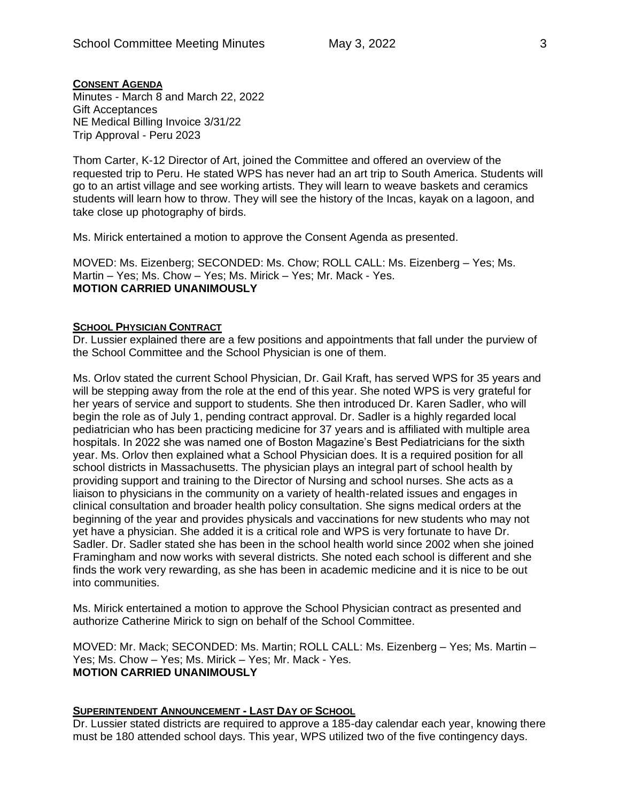# **CONSENT AGENDA**

Minutes - March 8 and March 22, 2022 Gift Acceptances NE Medical Billing Invoice 3/31/22 Trip Approval - Peru 2023

Thom Carter, K-12 Director of Art, joined the Committee and offered an overview of the requested trip to Peru. He stated WPS has never had an art trip to South America. Students will go to an artist village and see working artists. They will learn to weave baskets and ceramics students will learn how to throw. They will see the history of the Incas, kayak on a lagoon, and take close up photography of birds.

Ms. Mirick entertained a motion to approve the Consent Agenda as presented.

MOVED: Ms. Eizenberg; SECONDED: Ms. Chow; ROLL CALL: Ms. Eizenberg – Yes; Ms. Martin – Yes; Ms. Chow – Yes; Ms. Mirick – Yes; Mr. Mack - Yes. **MOTION CARRIED UNANIMOUSLY**

# **SCHOOL PHYSICIAN CONTRACT**

Dr. Lussier explained there are a few positions and appointments that fall under the purview of the School Committee and the School Physician is one of them.

Ms. Orlov stated the current School Physician, Dr. Gail Kraft, has served WPS for 35 years and will be stepping away from the role at the end of this year. She noted WPS is very grateful for her years of service and support to students. She then introduced Dr. Karen Sadler, who will begin the role as of July 1, pending contract approval. Dr. Sadler is a highly regarded local pediatrician who has been practicing medicine for 37 years and is affiliated with multiple area hospitals. In 2022 she was named one of Boston Magazine's Best Pediatricians for the sixth year. Ms. Orlov then explained what a School Physician does. It is a required position for all school districts in Massachusetts. The physician plays an integral part of school health by providing support and training to the Director of Nursing and school nurses. She acts as a liaison to physicians in the community on a variety of health-related issues and engages in clinical consultation and broader health policy consultation. She signs medical orders at the beginning of the year and provides physicals and vaccinations for new students who may not yet have a physician. She added it is a critical role and WPS is very fortunate to have Dr. Sadler. Dr. Sadler stated she has been in the school health world since 2002 when she joined Framingham and now works with several districts. She noted each school is different and she finds the work very rewarding, as she has been in academic medicine and it is nice to be out into communities.

Ms. Mirick entertained a motion to approve the School Physician contract as presented and authorize Catherine Mirick to sign on behalf of the School Committee.

MOVED: Mr. Mack; SECONDED: Ms. Martin; ROLL CALL: Ms. Eizenberg – Yes; Ms. Martin – Yes; Ms. Chow – Yes; Ms. Mirick – Yes; Mr. Mack - Yes. **MOTION CARRIED UNANIMOUSLY**

## **SUPERINTENDENT ANNOUNCEMENT - LAST DAY OF SCHOOL**

Dr. Lussier stated districts are required to approve a 185-day calendar each year, knowing there must be 180 attended school days. This year, WPS utilized two of the five contingency days.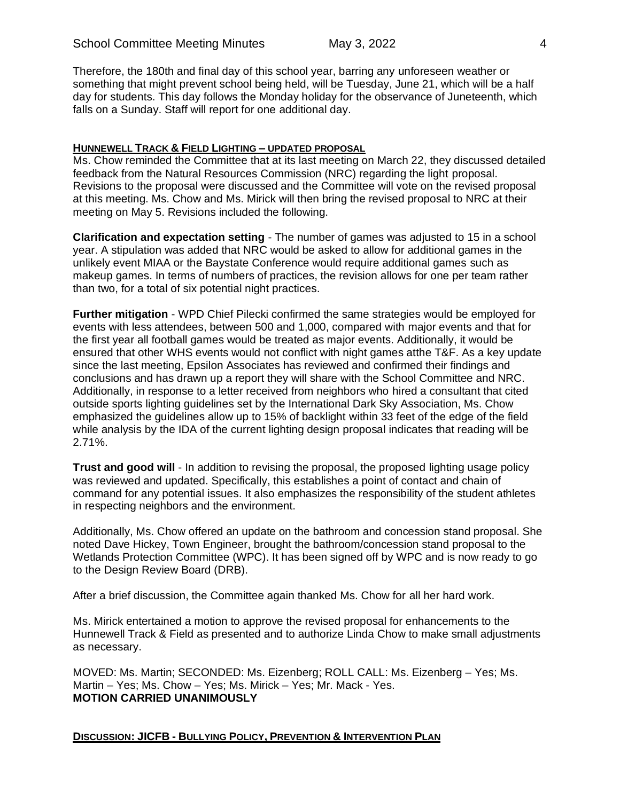Therefore, the 180th and final day of this school year, barring any unforeseen weather or something that might prevent school being held, will be Tuesday, June 21, which will be a half day for students. This day follows the Monday holiday for the observance of Juneteenth, which falls on a Sunday. Staff will report for one additional day.

### **HUNNEWELL TRACK & FIELD LIGHTING – UPDATED PROPOSAL**

Ms. Chow reminded the Committee that at its last meeting on March 22, they discussed detailed feedback from the Natural Resources Commission (NRC) regarding the light proposal. Revisions to the proposal were discussed and the Committee will vote on the revised proposal at this meeting. Ms. Chow and Ms. Mirick will then bring the revised proposal to NRC at their meeting on May 5. Revisions included the following.

**Clarification and expectation setting** - The number of games was adjusted to 15 in a school year. A stipulation was added that NRC would be asked to allow for additional games in the unlikely event MIAA or the Baystate Conference would require additional games such as makeup games. In terms of numbers of practices, the revision allows for one per team rather than two, for a total of six potential night practices.

**Further mitigation** - WPD Chief Pilecki confirmed the same strategies would be employed for events with less attendees, between 500 and 1,000, compared with major events and that for the first year all football games would be treated as major events. Additionally, it would be ensured that other WHS events would not conflict with night games atthe T&F. As a key update since the last meeting, Epsilon Associates has reviewed and confirmed their findings and conclusions and has drawn up a report they will share with the School Committee and NRC. Additionally, in response to a letter received from neighbors who hired a consultant that cited outside sports lighting guidelines set by the International Dark Sky Association, Ms. Chow emphasized the guidelines allow up to 15% of backlight within 33 feet of the edge of the field while analysis by the IDA of the current lighting design proposal indicates that reading will be 2.71%.

**Trust and good will** - In addition to revising the proposal, the proposed lighting usage policy was reviewed and updated. Specifically, this establishes a point of contact and chain of command for any potential issues. It also emphasizes the responsibility of the student athletes in respecting neighbors and the environment.

Additionally, Ms. Chow offered an update on the bathroom and concession stand proposal. She noted Dave Hickey, Town Engineer, brought the bathroom/concession stand proposal to the Wetlands Protection Committee (WPC). It has been signed off by WPC and is now ready to go to the Design Review Board (DRB).

After a brief discussion, the Committee again thanked Ms. Chow for all her hard work.

Ms. Mirick entertained a motion to approve the revised proposal for enhancements to the Hunnewell Track & Field as presented and to authorize Linda Chow to make small adjustments as necessary.

MOVED: Ms. Martin; SECONDED: Ms. Eizenberg; ROLL CALL: Ms. Eizenberg – Yes; Ms. Martin – Yes; Ms. Chow – Yes; Ms. Mirick – Yes; Mr. Mack - Yes. **MOTION CARRIED UNANIMOUSLY**

**DISCUSSION: JICFB - BULLYING POLICY, PREVENTION & INTERVENTION PLAN**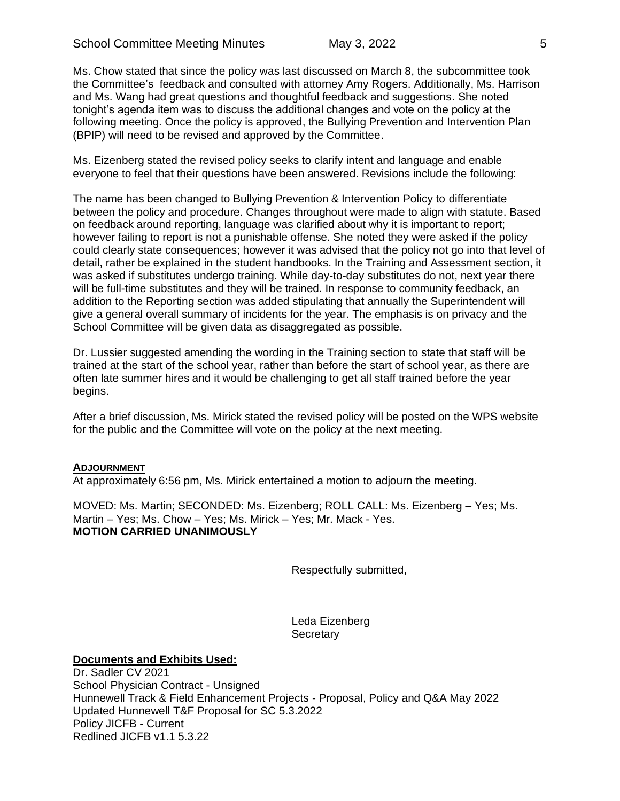Ms. Chow stated that since the policy was last discussed on March 8, the subcommittee took the Committee's feedback and consulted with attorney Amy Rogers. Additionally, Ms. Harrison and Ms. Wang had great questions and thoughtful feedback and suggestions. She noted tonight's agenda item was to discuss the additional changes and vote on the policy at the following meeting. Once the policy is approved, the Bullying Prevention and Intervention Plan (BPIP) will need to be revised and approved by the Committee.

Ms. Eizenberg stated the revised policy seeks to clarify intent and language and enable everyone to feel that their questions have been answered. Revisions include the following:

The name has been changed to Bullying Prevention & Intervention Policy to differentiate between the policy and procedure. Changes throughout were made to align with statute. Based on feedback around reporting, language was clarified about why it is important to report; however failing to report is not a punishable offense. She noted they were asked if the policy could clearly state consequences; however it was advised that the policy not go into that level of detail, rather be explained in the student handbooks. In the Training and Assessment section, it was asked if substitutes undergo training. While day-to-day substitutes do not, next year there will be full-time substitutes and they will be trained. In response to community feedback, an addition to the Reporting section was added stipulating that annually the Superintendent will give a general overall summary of incidents for the year. The emphasis is on privacy and the School Committee will be given data as disaggregated as possible.

Dr. Lussier suggested amending the wording in the Training section to state that staff will be trained at the start of the school year, rather than before the start of school year, as there are often late summer hires and it would be challenging to get all staff trained before the year begins.

After a brief discussion, Ms. Mirick stated the revised policy will be posted on the WPS website for the public and the Committee will vote on the policy at the next meeting.

### **ADJOURNMENT**

At approximately 6:56 pm, Ms. Mirick entertained a motion to adjourn the meeting.

MOVED: Ms. Martin; SECONDED: Ms. Eizenberg; ROLL CALL: Ms. Eizenberg – Yes; Ms. Martin – Yes; Ms. Chow – Yes; Ms. Mirick – Yes; Mr. Mack - Yes. **MOTION CARRIED UNANIMOUSLY**

Respectfully submitted,

Leda Eizenberg **Secretary** 

#### **Documents and Exhibits Used:**

Dr. Sadler CV 2021 School Physician Contract - Unsigned Hunnewell Track & Field Enhancement Projects - Proposal, Policy and Q&A May 2022 Updated Hunnewell T&F Proposal for SC 5.3.2022 Policy JICFB - Current Redlined JICFB v1.1 5.3.22